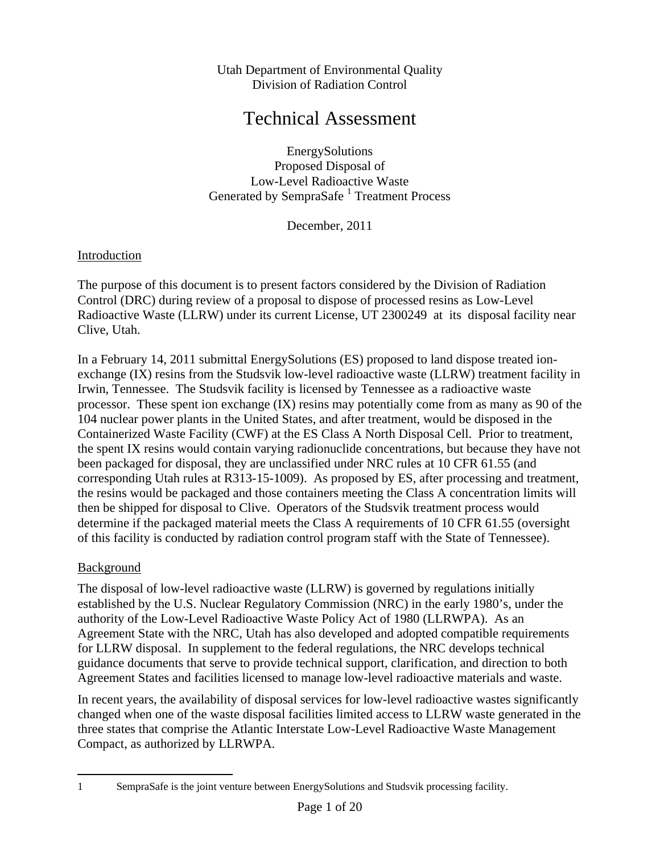Utah Department of Environmental Quality Division of Radiation Control

# Technical Assessment

EnergySolutions Proposed Disposal of Low-Level Radioactive Waste Generated by SempraSafe<sup>1</sup> Treatment Process

December, 2011

### Introduction

The purpose of this document is to present factors considered by the Division of Radiation Control (DRC) during review of a proposal to dispose of processed resins as Low-Level Radioactive Waste (LLRW) under its current License, UT 2300249 at its disposal facility near Clive, Utah.

In a February 14, 2011 submittal EnergySolutions (ES) proposed to land dispose treated ionexchange (IX) resins from the Studsvik low-level radioactive waste (LLRW) treatment facility in Irwin, Tennessee. The Studsvik facility is licensed by Tennessee as a radioactive waste processor. These spent ion exchange (IX) resins may potentially come from as many as 90 of the 104 nuclear power plants in the United States, and after treatment, would be disposed in the Containerized Waste Facility (CWF) at the ES Class A North Disposal Cell. Prior to treatment, the spent IX resins would contain varying radionuclide concentrations, but because they have not been packaged for disposal, they are unclassified under NRC rules at 10 CFR 61.55 (and corresponding Utah rules at R313-15-1009). As proposed by ES, after processing and treatment, the resins would be packaged and those containers meeting the Class A concentration limits will then be shipped for disposal to Clive. Operators of the Studsvik treatment process would determine if the packaged material meets the Class A requirements of 10 CFR 61.55 (oversight of this facility is conducted by radiation control program staff with the State of Tennessee).

#### Background

 $\overline{a}$ 

The disposal of low-level radioactive waste (LLRW) is governed by regulations initially established by the U.S. Nuclear Regulatory Commission (NRC) in the early 1980's, under the authority of the Low-Level Radioactive Waste Policy Act of 1980 (LLRWPA). As an Agreement State with the NRC, Utah has also developed and adopted compatible requirements for LLRW disposal. In supplement to the federal regulations, the NRC develops technical guidance documents that serve to provide technical support, clarification, and direction to both Agreement States and facilities licensed to manage low-level radioactive materials and waste.

In recent years, the availability of disposal services for low-level radioactive wastes significantly changed when one of the waste disposal facilities limited access to LLRW waste generated in the three states that comprise the Atlantic Interstate Low-Level Radioactive Waste Management Compact, as authorized by LLRWPA.

<sup>1</sup> SempraSafe is the joint venture between EnergySolutions and Studsvik processing facility.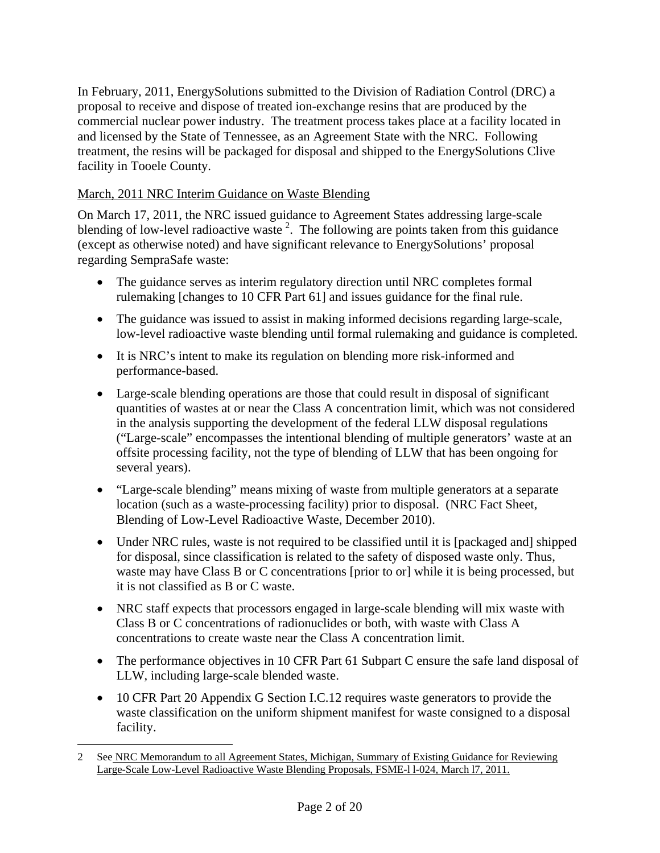In February, 2011, EnergySolutions submitted to the Division of Radiation Control (DRC) a proposal to receive and dispose of treated ion-exchange resins that are produced by the commercial nuclear power industry. The treatment process takes place at a facility located in and licensed by the State of Tennessee, as an Agreement State with the NRC. Following treatment, the resins will be packaged for disposal and shipped to the EnergySolutions Clive facility in Tooele County.

### March, 2011 NRC Interim Guidance on Waste Blending

On March 17, 2011, the NRC issued guidance to Agreement States addressing large-scale blending of low-level radioactive waste<sup>2</sup>. The following are points taken from this guidance (except as otherwise noted) and have significant relevance to EnergySolutions' proposal regarding SempraSafe waste:

- The guidance serves as interim regulatory direction until NRC completes formal rulemaking [changes to 10 CFR Part 61] and issues guidance for the final rule.
- The guidance was issued to assist in making informed decisions regarding large-scale, low-level radioactive waste blending until formal rulemaking and guidance is completed.
- It is NRC's intent to make its regulation on blending more risk-informed and performance-based.
- Large-scale blending operations are those that could result in disposal of significant quantities of wastes at or near the Class A concentration limit, which was not considered in the analysis supporting the development of the federal LLW disposal regulations ("Large-scale" encompasses the intentional blending of multiple generators' waste at an offsite processing facility, not the type of blending of LLW that has been ongoing for several years).
- "Large-scale blending" means mixing of waste from multiple generators at a separate location (such as a waste-processing facility) prior to disposal. (NRC Fact Sheet, Blending of Low-Level Radioactive Waste, December 2010).
- Under NRC rules, waste is not required to be classified until it is [packaged and] shipped for disposal, since classification is related to the safety of disposed waste only. Thus, waste may have Class B or C concentrations [prior to or] while it is being processed, but it is not classified as B or C waste.
- NRC staff expects that processors engaged in large-scale blending will mix waste with Class B or C concentrations of radionuclides or both, with waste with Class A concentrations to create waste near the Class A concentration limit.
- The performance objectives in 10 CFR Part 61 Subpart C ensure the safe land disposal of LLW, including large-scale blended waste.
- 10 CFR Part 20 Appendix G Section I.C.12 requires waste generators to provide the waste classification on the uniform shipment manifest for waste consigned to a disposal facility.

<sup>2</sup> See NRC Memorandum to all Agreement States, Michigan, Summary of Existing Guidance for Reviewing Large-Scale Low-Level Radioactive Waste Blending Proposals, FSME-l l-024, March l7, 2011.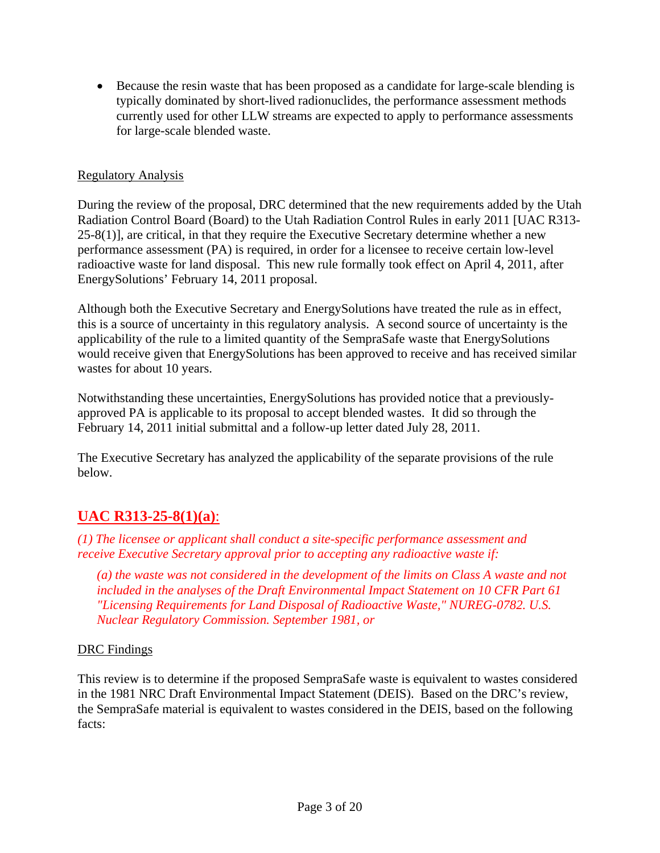• Because the resin waste that has been proposed as a candidate for large-scale blending is typically dominated by short-lived radionuclides, the performance assessment methods currently used for other LLW streams are expected to apply to performance assessments for large-scale blended waste.

### Regulatory Analysis

During the review of the proposal, DRC determined that the new requirements added by the Utah Radiation Control Board (Board) to the Utah Radiation Control Rules in early 2011 [UAC R313- 25-8(1)], are critical, in that they require the Executive Secretary determine whether a new performance assessment (PA) is required, in order for a licensee to receive certain low-level radioactive waste for land disposal. This new rule formally took effect on April 4, 2011, after EnergySolutions' February 14, 2011 proposal.

Although both the Executive Secretary and EnergySolutions have treated the rule as in effect, this is a source of uncertainty in this regulatory analysis. A second source of uncertainty is the applicability of the rule to a limited quantity of the SempraSafe waste that EnergySolutions would receive given that EnergySolutions has been approved to receive and has received similar wastes for about 10 years.

Notwithstanding these uncertainties, EnergySolutions has provided notice that a previouslyapproved PA is applicable to its proposal to accept blended wastes. It did so through the February 14, 2011 initial submittal and a follow-up letter dated July 28, 2011.

The Executive Secretary has analyzed the applicability of the separate provisions of the rule below.

# **UAC R313-25-8(1)(a)**:

*(1) The licensee or applicant shall conduct a site-specific performance assessment and receive Executive Secretary approval prior to accepting any radioactive waste if:* 

*(a) the waste was not considered in the development of the limits on Class A waste and not included in the analyses of the Draft Environmental Impact Statement on 10 CFR Part 61 "Licensing Requirements for Land Disposal of Radioactive Waste," NUREG-0782. U.S. Nuclear Regulatory Commission. September 1981, or*

#### DRC Findings

This review is to determine if the proposed SempraSafe waste is equivalent to wastes considered in the 1981 NRC Draft Environmental Impact Statement (DEIS). Based on the DRC's review, the SempraSafe material is equivalent to wastes considered in the DEIS, based on the following facts: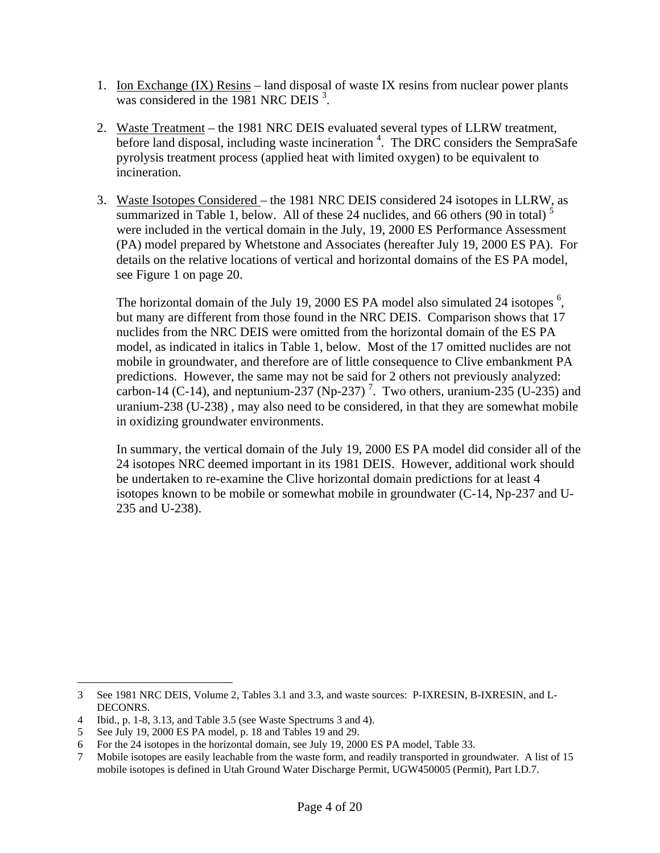- 1. Ion Exchange (IX) Resins land disposal of waste IX resins from nuclear power plants was considered in the 1981 NRC DEIS<sup>3</sup>.
- 2. Waste Treatment the 1981 NRC DEIS evaluated several types of LLRW treatment, before land disposal, including waste incineration  $4$ . The DRC considers the SempraSafe pyrolysis treatment process (applied heat with limited oxygen) to be equivalent to incineration.
- 3. Waste Isotopes Considered the 1981 NRC DEIS considered 24 isotopes in LLRW, as summarized in Table 1, below. All of these 24 nuclides, and 66 others (90 in total)<sup>5</sup> were included in the vertical domain in the July, 19, 2000 ES Performance Assessment (PA) model prepared by Whetstone and Associates (hereafter July 19, 2000 ES PA). For details on the relative locations of vertical and horizontal domains of the ES PA model, see Figure 1 on page 20.

The horizontal domain of the July 19, 2000 ES PA model also simulated 24 isotopes  $<sup>6</sup>$ ,</sup> but many are different from those found in the NRC DEIS. Comparison shows that 17 nuclides from the NRC DEIS were omitted from the horizontal domain of the ES PA model, as indicated in italics in Table 1, below. Most of the 17 omitted nuclides are not mobile in groundwater, and therefore are of little consequence to Clive embankment PA predictions. However, the same may not be said for 2 others not previously analyzed: carbon-14 (C-14), and neptunium-237 (Np-237)<sup>7</sup>. Two others, uranium-235 (U-235) and uranium-238 (U-238) , may also need to be considered, in that they are somewhat mobile in oxidizing groundwater environments.

In summary, the vertical domain of the July 19, 2000 ES PA model did consider all of the 24 isotopes NRC deemed important in its 1981 DEIS. However, additional work should be undertaken to re-examine the Clive horizontal domain predictions for at least 4 isotopes known to be mobile or somewhat mobile in groundwater (C-14, Np-237 and U-235 and U-238).

<sup>3</sup> See 1981 NRC DEIS, Volume 2, Tables 3.1 and 3.3, and waste sources: P-IXRESIN, B-IXRESIN, and L-DECONRS.

<sup>4</sup> Ibid., p. 1-8, 3.13, and Table 3.5 (see Waste Spectrums 3 and 4).

<sup>5</sup> See July 19, 2000 ES PA model, p. 18 and Tables 19 and 29.

For the 24 isotopes in the horizontal domain, see July 19, 2000 ES PA model, Table 33.

<sup>7</sup> Mobile isotopes are easily leachable from the waste form, and readily transported in groundwater. A list of 15 mobile isotopes is defined in Utah Ground Water Discharge Permit, UGW450005 (Permit), Part I.D.7.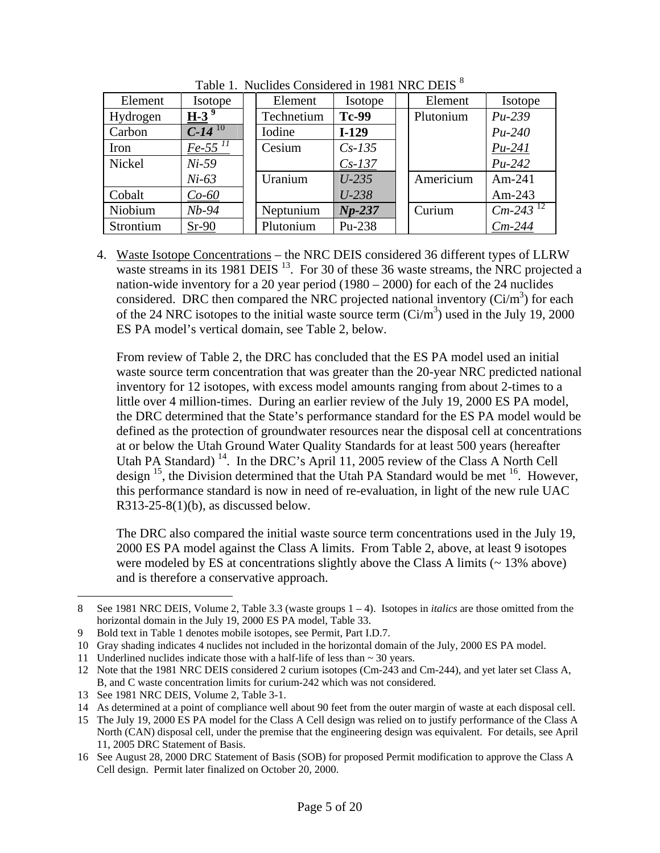| Element   | Isotope              | Element    | Isotope      | Element   | Isotope                |
|-----------|----------------------|------------|--------------|-----------|------------------------|
| Hydrogen  | $H-3$ <sup>9</sup>   | Technetium | <b>Tc-99</b> | Plutonium | $Pu-239$               |
| Carbon    | $C-14$ <sup>10</sup> | Iodine     | $I-129$      |           | $Pu-240$               |
| Iron      | $Fe-55$ $^{11}$      | Cesium     | $Cs-135$     |           | $Pu-241$               |
| Nickel    | $Ni-59$              |            | $Cs-137$     |           | $Pu-242$               |
|           | $Ni-63$              | Uranium    | $U-235$      | Americium | $Am-241$               |
| Cobalt    | $Co-60$              |            | $U - 238$    |           | Am-243                 |
| Niobium   | $Nb-94$              | Neptunium  | $Np-237$     | Curium    | $Cm-243$ <sup>12</sup> |
| Strontium | $Sr-90$              | Plutonium  | Pu-238       |           | $Cm-244$               |

Table 1. Nuclides Considered in 1981 NRC DEIS<sup>8</sup>

4. Waste Isotope Concentrations – the NRC DEIS considered 36 different types of LLRW waste streams in its 1981 DEIS  $^{13}$ . For 30 of these 36 waste streams, the NRC projected a nation-wide inventory for a 20 year period (1980 – 2000) for each of the 24 nuclides considered. DRC then compared the NRC projected national inventory  $(Ci/m^3)$  for each of the 24 NRC isotopes to the initial waste source term  $(Ci/m^3)$  used in the July 19, 2000 ES PA model's vertical domain, see Table 2, below.

From review of Table 2, the DRC has concluded that the ES PA model used an initial waste source term concentration that was greater than the 20-year NRC predicted national inventory for 12 isotopes, with excess model amounts ranging from about 2-times to a little over 4 million-times. During an earlier review of the July 19, 2000 ES PA model, the DRC determined that the State's performance standard for the ES PA model would be defined as the protection of groundwater resources near the disposal cell at concentrations at or below the Utah Ground Water Quality Standards for at least 500 years (hereafter Utah PA Standard)<sup>14</sup>. In the DRC's April 11, 2005 review of the Class A North Cell design  $^{15}$ , the Division determined that the Utah PA Standard would be met  $^{16}$ . However, this performance standard is now in need of re-evaluation, in light of the new rule UAC  $R313-25-8(1)(b)$ , as discussed below.

The DRC also compared the initial waste source term concentrations used in the July 19, 2000 ES PA model against the Class A limits. From Table 2, above, at least 9 isotopes were modeled by ES at concentrations slightly above the Class A limits  $($   $\sim$  13% above) and is therefore a conservative approach.

<sup>8</sup> See 1981 NRC DEIS, Volume 2, Table 3.3 (waste groups 1 – 4). Isotopes in *italics* are those omitted from the horizontal domain in the July 19, 2000 ES PA model, Table 33.

<sup>9</sup> Bold text in Table 1 denotes mobile isotopes, see Permit, Part I.D.7.

<sup>10</sup> Gray shading indicates 4 nuclides not included in the horizontal domain of the July, 2000 ES PA model.

<sup>11</sup> Underlined nuclides indicate those with a half-life of less than ~ 30 years.

<sup>12</sup> Note that the 1981 NRC DEIS considered 2 curium isotopes (Cm-243 and Cm-244), and yet later set Class A, B, and C waste concentration limits for curium-242 which was not considered.

<sup>13</sup> See 1981 NRC DEIS, Volume 2, Table 3-1.

<sup>14</sup> As determined at a point of compliance well about 90 feet from the outer margin of waste at each disposal cell.

<sup>15</sup> The July 19, 2000 ES PA model for the Class A Cell design was relied on to justify performance of the Class A North (CAN) disposal cell, under the premise that the engineering design was equivalent. For details, see April 11, 2005 DRC Statement of Basis.

<sup>16</sup> See August 28, 2000 DRC Statement of Basis (SOB) for proposed Permit modification to approve the Class A Cell design. Permit later finalized on October 20, 2000.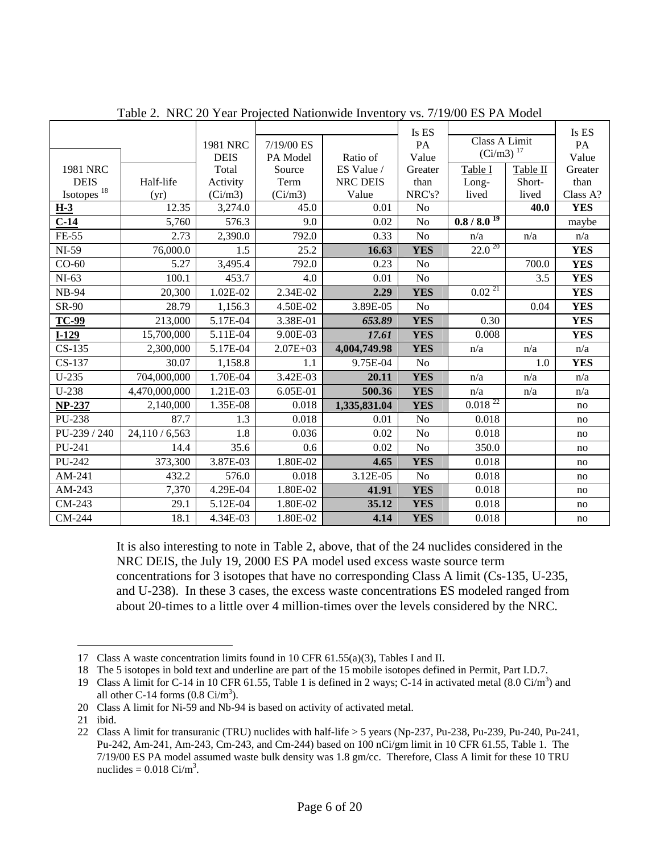|                        |               |             |              |              | Is ES          |                  |          | Is ES                   |
|------------------------|---------------|-------------|--------------|--------------|----------------|------------------|----------|-------------------------|
|                        |               | 1981 NRC    | 7/19/00 ES   |              | PA             | Class A Limit    |          | PA                      |
|                        |               | <b>DEIS</b> | PA Model     | Ratio of     | Value          | $(Ci/m3)^{17}$   |          | Value                   |
| 1981 NRC               |               | Total       | Source       | ES Value /   | Greater        | Table I          | Table II | Greater                 |
| <b>DEIS</b>            | Half-life     | Activity    | Term         | NRC DEIS     | than           | Long-            | Short-   | than                    |
| Isotopes <sup>18</sup> | (yr)          | (Ci/m3)     | (Ci/m3)      | Value        | NRC's?         | lived            | lived    | Class A?                |
| $H-3$                  | 12.35         | 3,274.0     | 45.0         | 0.01         | N <sub>o</sub> |                  | 40.0     | <b>YES</b>              |
| $C-14$                 | 5,760         | 576.3       | 9.0          | 0.02         | No             | $0.8 / 8.0^{19}$ |          | maybe                   |
| FE-55                  | 2.73          | 2,390.0     | 792.0        | 0.33         | N <sub>o</sub> | n/a              | n/a      | n/a                     |
| NI-59                  | 76,000.0      | 1.5         | 25.2         | 16.63        | <b>YES</b>     | $22.0^{20}$      |          | <b>YES</b>              |
| $CO-60$                | 5.27          | 3,495.4     | 792.0        | 0.23         | No             |                  | 700.0    | <b>YES</b>              |
| $NI-63$                | 100.1         | 453.7       | 4.0          | 0.01         | N <sub>o</sub> |                  | 3.5      | <b>YES</b>              |
| <b>NB-94</b>           | 20,300        | 1.02E-02    | 2.34E-02     | 2.29         | <b>YES</b>     | $0.02^{21}$      |          | <b>YES</b>              |
| SR-90                  | 28.79         | 1,156.3     | 4.50E-02     | 3.89E-05     | N <sub>o</sub> |                  | 0.04     | <b>YES</b>              |
| <b>TC-99</b>           | 213,000       | 5.17E-04    | 3.38E-01     | 653.89       | <b>YES</b>     | 0.30             |          | <b>YES</b>              |
| $I-129$                | 15,700,000    | 5.11E-04    | 9.00E-03     | 17.61        | <b>YES</b>     | 0.008            |          | <b>YES</b>              |
| $CS-135$               | 2,300,000     | 5.17E-04    | $2.07E + 03$ | 4,004,749.98 | <b>YES</b>     | n/a              | n/a      | n/a                     |
| CS-137                 | 30.07         | 1,158.8     | 1.1          | 9.75E-04     | N <sub>o</sub> |                  | 1.0      | <b>YES</b>              |
| $U-235$                | 704,000,000   | 1.70E-04    | 3.42E-03     | 20.11        | <b>YES</b>     | n/a              | n/a      | n/a                     |
| $U-238$                | 4,470,000,000 | 1.21E-03    | 6.05E-01     | 500.36       | <b>YES</b>     | n/a              | n/a      | $\mathrm{n}/\mathrm{a}$ |
| $NP-237$               | 2,140,000     | 1.35E-08    | 0.018        | 1,335,831.04 | <b>YES</b>     | $0.018^{22}$     |          | no                      |
| PU-238                 | 87.7          | 1.3         | 0.018        | 0.01         | No             | 0.018            |          | no                      |
| PU-239 / 240           | 24,110/6,563  | 1.8         | 0.036        | 0.02         | No             | 0.018            |          | no                      |
| PU-241                 | 14.4          | 35.6        | 0.6          | 0.02         | N <sub>o</sub> | 350.0            |          | no                      |
| PU-242                 | 373,300       | 3.87E-03    | 1.80E-02     | 4.65         | <b>YES</b>     | 0.018            |          | no                      |
| AM-241                 | 432.2         | 576.0       | 0.018        | 3.12E-05     | No             | 0.018            |          | no                      |
| AM-243                 | 7,370         | 4.29E-04    | 1.80E-02     | 41.91        | <b>YES</b>     | 0.018            |          | no                      |
| CM-243                 | 29.1          | 5.12E-04    | 1.80E-02     | 35.12        | <b>YES</b>     | 0.018            |          | no                      |
| CM-244                 | 18.1          | 4.34E-03    | 1.80E-02     | 4.14         | <b>YES</b>     | 0.018            |          | no                      |

Table 2. NRC 20 Year Projected Nationwide Inventory vs. 7/19/00 ES PA Model

It is also interesting to note in Table 2, above, that of the 24 nuclides considered in the NRC DEIS, the July 19, 2000 ES PA model used excess waste source term concentrations for 3 isotopes that have no corresponding Class A limit (Cs-135, U-235, and U-238). In these 3 cases, the excess waste concentrations ES modeled ranged from about 20-times to a little over 4 million-times over the levels considered by the NRC.

20 Class A limit for Ni-59 and Nb-94 is based on activity of activated metal.

<sup>17</sup> Class A waste concentration limits found in 10 CFR 61.55(a)(3), Tables I and II.

<sup>18</sup> The 5 isotopes in bold text and underline are part of the 15 mobile isotopes defined in Permit, Part I.D.7.

<sup>19</sup> Class A limit for C-14 in 10 CFR 61.55, Table 1 is defined in 2 ways; C-14 in activated metal  $(8.0 \text{ Ci/m}^3)$  and all other C-14 forms  $(0.8 \text{ Ci/m}^3)$ .

<sup>21</sup> ibid.

<sup>22</sup> Class A limit for transuranic (TRU) nuclides with half-life > 5 years (Np-237, Pu-238, Pu-239, Pu-240, Pu-241, Pu-242, Am-241, Am-243, Cm-243, and Cm-244) based on 100 nCi/gm limit in 10 CFR 61.55, Table 1. The 7/19/00 ES PA model assumed waste bulk density was 1.8 gm/cc. Therefore, Class A limit for these 10 TRU nuclides =  $0.018 \text{ Ci/m}^3$ .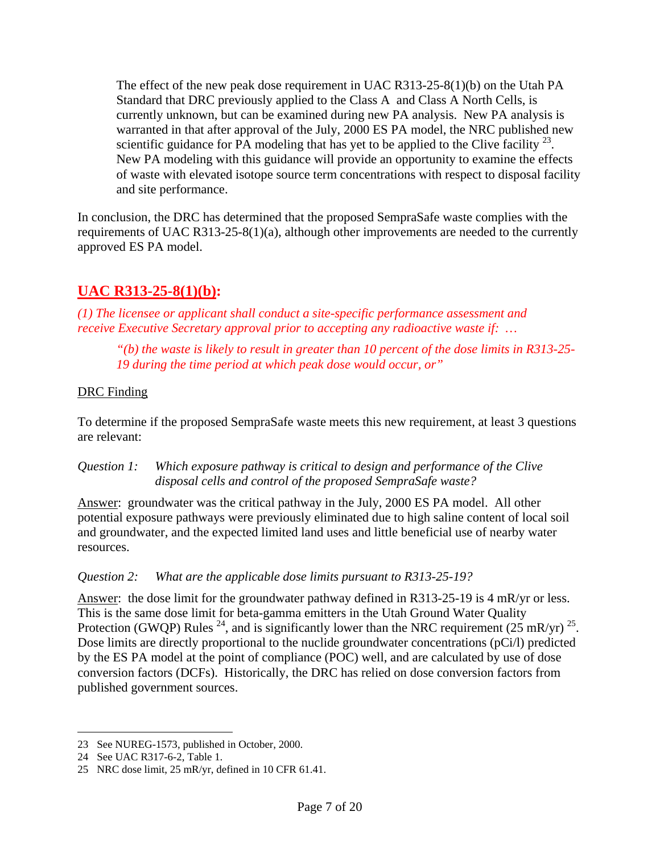The effect of the new peak dose requirement in UAC R313-25-8(1)(b) on the Utah PA Standard that DRC previously applied to the Class A and Class A North Cells, is currently unknown, but can be examined during new PA analysis. New PA analysis is warranted in that after approval of the July, 2000 ES PA model, the NRC published new scientific guidance for PA modeling that has yet to be applied to the Clive facility  $^{23}$ . New PA modeling with this guidance will provide an opportunity to examine the effects of waste with elevated isotope source term concentrations with respect to disposal facility and site performance.

In conclusion, the DRC has determined that the proposed SempraSafe waste complies with the requirements of UAC R313-25-8(1)(a), although other improvements are needed to the currently approved ES PA model.

# **UAC R313-25-8(1)(b):**

*(1) The licensee or applicant shall conduct a site-specific performance assessment and receive Executive Secretary approval prior to accepting any radioactive waste if: …*

*"(b) the waste is likely to result in greater than 10 percent of the dose limits in R313-25- 19 during the time period at which peak dose would occur, or"* 

#### DRC Finding

To determine if the proposed SempraSafe waste meets this new requirement, at least 3 questions are relevant:

*Question 1: Which exposure pathway is critical to design and performance of the Clive disposal cells and control of the proposed SempraSafe waste?* 

Answer: groundwater was the critical pathway in the July, 2000 ES PA model. All other potential exposure pathways were previously eliminated due to high saline content of local soil and groundwater, and the expected limited land uses and little beneficial use of nearby water resources.

#### *Question 2: What are the applicable dose limits pursuant to R313-25-19?*

Answer: the dose limit for the groundwater pathway defined in R313-25-19 is 4 mR/yr or less. This is the same dose limit for beta-gamma emitters in the Utah Ground Water Quality Protection (GWQP) Rules <sup>24</sup>, and is significantly lower than the NRC requirement (25 mR/yr) <sup>25</sup>. Dose limits are directly proportional to the nuclide groundwater concentrations (pCi/l) predicted by the ES PA model at the point of compliance (POC) well, and are calculated by use of dose conversion factors (DCFs). Historically, the DRC has relied on dose conversion factors from published government sources.

<sup>23</sup> See NUREG-1573, published in October, 2000.

<sup>24</sup> See UAC R317-6-2, Table 1.

<sup>25</sup> NRC dose limit, 25 mR/yr, defined in 10 CFR 61.41.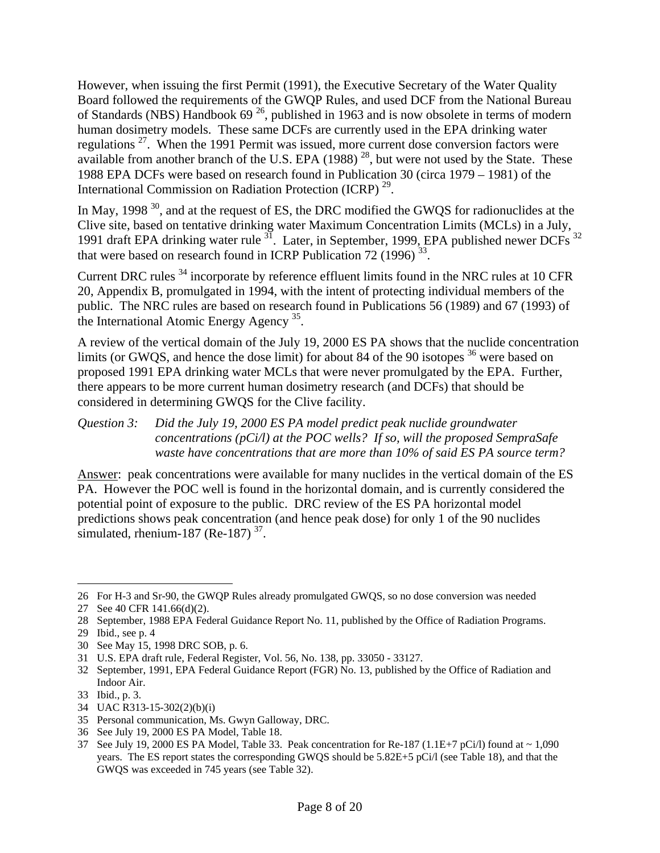However, when issuing the first Permit (1991), the Executive Secretary of the Water Quality Board followed the requirements of the GWQP Rules, and used DCF from the National Bureau of Standards (NBS) Handbook 69 26, published in 1963 and is now obsolete in terms of modern human dosimetry models. These same DCFs are currently used in the EPA drinking water regulations  $27$ . When the 1991 Permit was issued, more current dose conversion factors were available from another branch of the U.S. EPA  $(1988)$ <sup>28</sup>, but were not used by the State. These 1988 EPA DCFs were based on research found in Publication 30 (circa 1979 – 1981) of the International Commission on Radiation Protection (ICRP) 29.

In May, 1998<sup>30</sup>, and at the request of ES, the DRC modified the GWQS for radionuclides at the Clive site, based on tentative drinking water Maximum Concentration Limits (MCLs) in a July, 1991 draft EPA drinking water rule  $^{31}$ . Later, in September, 1999, EPA published newer DCFs  $^{32}$ that were based on research found in ICRP Publication 72 (1996)  $33$ .

Current DRC rules 34 incorporate by reference effluent limits found in the NRC rules at 10 CFR 20, Appendix B, promulgated in 1994, with the intent of protecting individual members of the public. The NRC rules are based on research found in Publications 56 (1989) and 67 (1993) of the International Atomic Energy Agency <sup>35</sup>.

A review of the vertical domain of the July 19, 2000 ES PA shows that the nuclide concentration limits (or GWQS, and hence the dose limit) for about 84 of the 90 isotopes <sup>36</sup> were based on proposed 1991 EPA drinking water MCLs that were never promulgated by the EPA. Further, there appears to be more current human dosimetry research (and DCFs) that should be considered in determining GWQS for the Clive facility.

#### *Question 3: Did the July 19, 2000 ES PA model predict peak nuclide groundwater concentrations (pCi/l) at the POC wells? If so, will the proposed SempraSafe waste have concentrations that are more than 10% of said ES PA source term?*

Answer: peak concentrations were available for many nuclides in the vertical domain of the ES PA. However the POC well is found in the horizontal domain, and is currently considered the potential point of exposure to the public. DRC review of the ES PA horizontal model predictions shows peak concentration (and hence peak dose) for only 1 of the 90 nuclides simulated, rhenium-187 (Re-187)<sup>37</sup>.

- 34 UAC R313-15-302(2)(b)(i)
- 35 Personal communication, Ms. Gwyn Galloway, DRC.
- 36 See July 19, 2000 ES PA Model, Table 18.

<sup>26</sup> For H-3 and Sr-90, the GWQP Rules already promulgated GWQS, so no dose conversion was needed

<sup>27</sup> See 40 CFR 141.66(d)(2).

<sup>28</sup> September, 1988 EPA Federal Guidance Report No. 11, published by the Office of Radiation Programs.

<sup>29</sup> Ibid., see p. 4

<sup>30</sup> See May 15, 1998 DRC SOB, p. 6.

<sup>31</sup> U.S. EPA draft rule, Federal Register, Vol. 56, No. 138, pp. 33050 - 33127.

<sup>32</sup> September, 1991, EPA Federal Guidance Report (FGR) No. 13, published by the Office of Radiation and Indoor Air.

<sup>33</sup> Ibid., p. 3.

<sup>37</sup> See July 19, 2000 ES PA Model, Table 33. Peak concentration for Re-187 (1.1E+7 pCi/l) found at  $\sim 1,090$ years. The ES report states the corresponding GWQS should be 5.82E+5 pCi/l (see Table 18), and that the GWQS was exceeded in 745 years (see Table 32).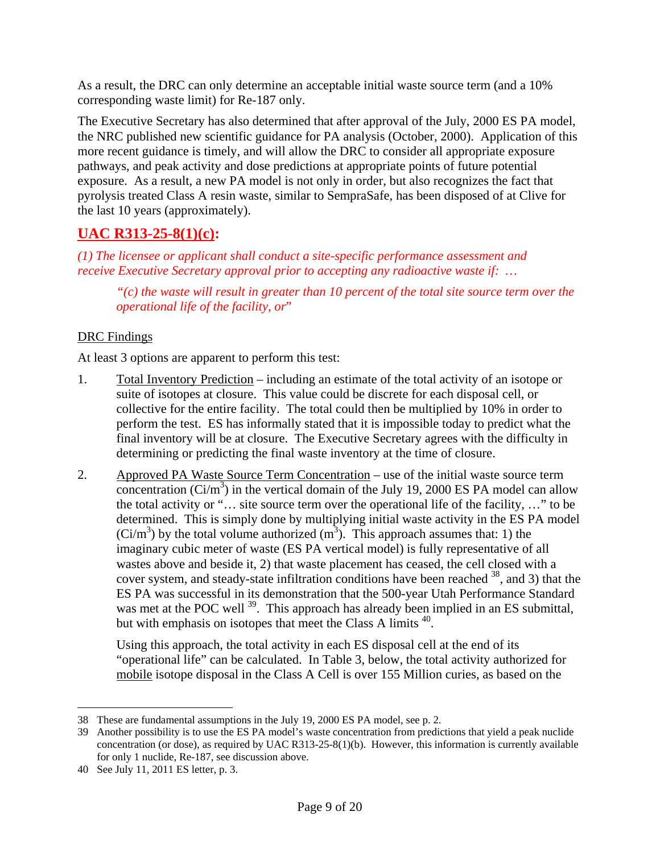As a result, the DRC can only determine an acceptable initial waste source term (and a 10% corresponding waste limit) for Re-187 only.

The Executive Secretary has also determined that after approval of the July, 2000 ES PA model, the NRC published new scientific guidance for PA analysis (October, 2000). Application of this more recent guidance is timely, and will allow the DRC to consider all appropriate exposure pathways, and peak activity and dose predictions at appropriate points of future potential exposure. As a result, a new PA model is not only in order, but also recognizes the fact that pyrolysis treated Class A resin waste, similar to SempraSafe, has been disposed of at Clive for the last 10 years (approximately).

# **UAC R313-25-8(1)(c):**

*(1) The licensee or applicant shall conduct a site-specific performance assessment and receive Executive Secretary approval prior to accepting any radioactive waste if: …* 

*"(c) the waste will result in greater than 10 percent of the total site source term over the operational life of the facility, or*"

### DRC Findings

At least 3 options are apparent to perform this test:

- 1. Total Inventory Prediction including an estimate of the total activity of an isotope or suite of isotopes at closure. This value could be discrete for each disposal cell, or collective for the entire facility. The total could then be multiplied by 10% in order to perform the test. ES has informally stated that it is impossible today to predict what the final inventory will be at closure. The Executive Secretary agrees with the difficulty in determining or predicting the final waste inventory at the time of closure.
- 2. Approved PA Waste Source Term Concentration use of the initial waste source term concentration  $(Ci/m^3)$  in the vertical domain of the July 19, 2000 ES PA model can allow the total activity or "… site source term over the operational life of the facility, …" to be determined. This is simply done by multiplying initial waste activity in the ES PA model  $(Ci/m<sup>3</sup>)$  by the total volume authorized  $(m<sup>3</sup>)$ . This approach assumes that: 1) the imaginary cubic meter of waste (ES PA vertical model) is fully representative of all wastes above and beside it, 2) that waste placement has ceased, the cell closed with a cover system, and steady-state infiltration conditions have been reached <sup>38</sup>, and 3) that the ES PA was successful in its demonstration that the 500-year Utah Performance Standard was met at the POC well <sup>39</sup>. This approach has already been implied in an ES submittal, but with emphasis on isotopes that meet the Class A limits  $40$ .

Using this approach, the total activity in each ES disposal cell at the end of its "operational life" can be calculated. In Table 3, below, the total activity authorized for mobile isotope disposal in the Class A Cell is over 155 Million curies, as based on the

<sup>38</sup> These are fundamental assumptions in the July 19, 2000 ES PA model, see p. 2.

<sup>39</sup> Another possibility is to use the ES PA model's waste concentration from predictions that yield a peak nuclide concentration (or dose), as required by UAC R313-25-8(1)(b). However, this information is currently available for only 1 nuclide, Re-187, see discussion above.

<sup>40</sup> See July 11, 2011 ES letter, p. 3.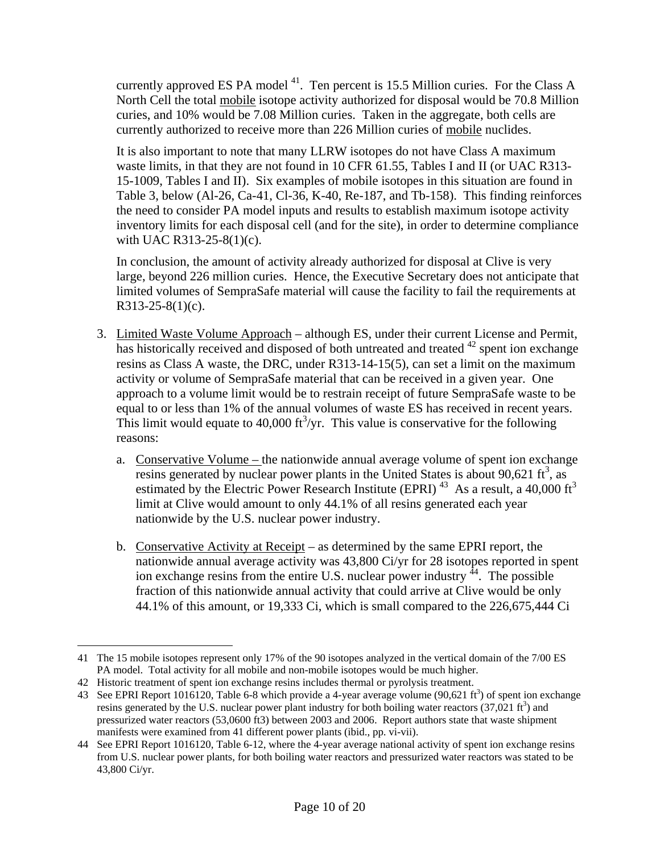currently approved ES PA model  $41$ . Ten percent is 15.5 Million curies. For the Class A North Cell the total mobile isotope activity authorized for disposal would be 70.8 Million curies, and 10% would be 7.08 Million curies. Taken in the aggregate, both cells are currently authorized to receive more than 226 Million curies of mobile nuclides.

It is also important to note that many LLRW isotopes do not have Class A maximum waste limits, in that they are not found in 10 CFR 61.55, Tables I and II (or UAC R313- 15-1009, Tables I and II). Six examples of mobile isotopes in this situation are found in Table 3, below (Al-26, Ca-41, Cl-36, K-40, Re-187, and Tb-158). This finding reinforces the need to consider PA model inputs and results to establish maximum isotope activity inventory limits for each disposal cell (and for the site), in order to determine compliance with UAC R313-25-8(1)(c).

In conclusion, the amount of activity already authorized for disposal at Clive is very large, beyond 226 million curies. Hence, the Executive Secretary does not anticipate that limited volumes of SempraSafe material will cause the facility to fail the requirements at R313-25-8(1)(c).

- 3. Limited Waste Volume Approach although ES, under their current License and Permit, has historically received and disposed of both untreated and treated <sup>42</sup> spent ion exchange resins as Class A waste, the DRC, under R313-14-15(5), can set a limit on the maximum activity or volume of SempraSafe material that can be received in a given year. One approach to a volume limit would be to restrain receipt of future SempraSafe waste to be equal to or less than 1% of the annual volumes of waste ES has received in recent years. This limit would equate to 40,000  $\text{ft}^3/\text{yr}$ . This value is conservative for the following reasons:
	- a. Conservative Volume the nationwide annual average volume of spent ion exchange resins generated by nuclear power plants in the United States is about 90,621 ft<sup>3</sup>, as estimated by the Electric Power Research Institute (EPRI)<sup>43</sup> As a result, a 40,000 ft<sup>3</sup> limit at Clive would amount to only 44.1% of all resins generated each year nationwide by the U.S. nuclear power industry.
	- b. Conservative Activity at Receipt as determined by the same EPRI report, the nationwide annual average activity was 43,800 Ci/yr for 28 isotopes reported in spent ion exchange resins from the entire U.S. nuclear power industry  $44$ . The possible fraction of this nationwide annual activity that could arrive at Clive would be only 44.1% of this amount, or 19,333 Ci, which is small compared to the 226,675,444 Ci

<sup>41</sup> The 15 mobile isotopes represent only 17% of the 90 isotopes analyzed in the vertical domain of the 7/00 ES PA model. Total activity for all mobile and non-mobile isotopes would be much higher.

<sup>42</sup> Historic treatment of spent ion exchange resins includes thermal or pyrolysis treatment.

<sup>43</sup> See EPRI Report 1016120, Table 6-8 which provide a 4-year average volume (90,621 ft<sup>3</sup>) of spent ion exchange resins generated by the U.S. nuclear power plant industry for both boiling water reactors  $(37,021 \text{ ft}^3)$  and pressurized water reactors (53,0600 ft3) between 2003 and 2006. Report authors state that waste shipment manifests were examined from 41 different power plants (ibid., pp. vi-vii).

<sup>44</sup> See EPRI Report 1016120, Table 6-12, where the 4-year average national activity of spent ion exchange resins from U.S. nuclear power plants, for both boiling water reactors and pressurized water reactors was stated to be 43,800 Ci/yr.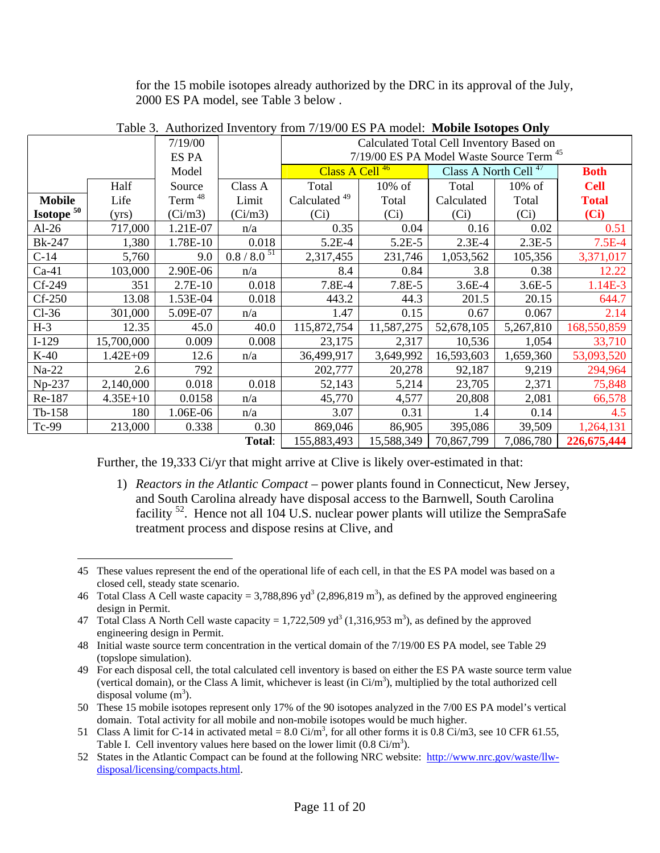for the 15 mobile isotopes already authorized by the DRC in its approval of the July, 2000 ES PA model, see Table 3 below .

|                              |              | 7/19/00            |                  | Calculated Total Cell Inventory Based on            |            |                                  |            |              |  |
|------------------------------|--------------|--------------------|------------------|-----------------------------------------------------|------------|----------------------------------|------------|--------------|--|
| ES PA                        |              |                    |                  | 7/19/00 ES PA Model Waste Source Term <sup>45</sup> |            |                                  |            |              |  |
|                              |              | Model              |                  | Class A Cell <sup>46</sup>                          |            | Class A North Cell <sup>47</sup> |            | <b>Both</b>  |  |
|                              | Half         | Source             | Class A          | Total                                               | 10% of     | Total                            | $10\%$ of  | <b>Cell</b>  |  |
| <b>Mobile</b>                | Life         | Term <sup>48</sup> | Limit            | Calculated <sup>49</sup>                            | Total      | Calculated                       | Total      | <b>Total</b> |  |
| <b>Isotope</b> <sup>50</sup> | (yrs)        | (Ci/m3)            | (Ci/m3)          | (Ci)                                                | (Ci)       | (Ci)                             | (Ci)       | (Ci)         |  |
| $Al-26$                      | 717,000      | 1.21E-07           | n/a              | 0.35                                                | 0.04       | 0.16                             | 0.02       | 0.51         |  |
| <b>Bk-247</b>                | 1,380        | 1.78E-10           | 0.018            | $5.2E-4$                                            | $5.2E - 5$ | $2.3E-4$                         | $2.3E-5$   | $7.5E-4$     |  |
| $C-14$                       | 5,760        | 9.0                | $0.8 / 8.0^{51}$ | 2,317,455                                           | 231,746    | 1,053,562                        | 105,356    | 3,371,017    |  |
| $Ca-41$                      | 103,000      | 2.90E-06           | n/a              | 8.4                                                 | 0.84       | 3.8                              | 0.38       | 12.22        |  |
| Cf-249                       | 351          | $2.7E-10$          | 0.018            | 7.8E-4                                              | 7.8E-5     | $3.6E - 4$                       | $3.6E - 5$ | 1.14E-3      |  |
| $Cf-250$                     | 13.08        | 1.53E-04           | 0.018            | 443.2                                               | 44.3       | 201.5                            | 20.15      | 644.7        |  |
| $Cl-36$                      | 301,000      | 5.09E-07           | n/a              | 1.47                                                | 0.15       | 0.67                             | 0.067      | 2.14         |  |
| $H-3$                        | 12.35        | 45.0               | 40.0             | 115,872,754                                         | 11,587,275 | 52,678,105                       | 5,267,810  | 168,550,859  |  |
| $I-129$                      | 15,700,000   | 0.009              | 0.008            | 23,175                                              | 2,317      | 10,536                           | 1,054      | 33,710       |  |
| $K-40$                       | $1.42E + 09$ | 12.6               | n/a              | 36,499,917                                          | 3,649,992  | 16,593,603                       | 1,659,360  | 53,093,520   |  |
| $Na-22$                      | 2.6          | 792                |                  | 202,777                                             | 20,278     | 92,187                           | 9,219      | 294,964      |  |
| Np-237                       | 2,140,000    | 0.018              | 0.018            | 52,143                                              | 5,214      | 23,705                           | 2,371      | 75,848       |  |
| Re-187                       | $4.35E+10$   | 0.0158             | n/a              | 45,770                                              | 4,577      | 20,808                           | 2,081      | 66,578       |  |
| $Tb-158$                     | 180          | 1.06E-06           | n/a              | 3.07                                                | 0.31       | 1.4                              | 0.14       | 4.5          |  |
| Tc-99                        | 213,000      | 0.338              | 0.30             | 869,046                                             | 86,905     | 395,086                          | 39,509     | 1,264,131    |  |
|                              |              |                    | Total:           | 155,883,493                                         | 15,588,349 | 70,867,799                       | 7,086,780  | 226,675,444  |  |

Table 3. Authorized Inventory from 7/19/00 ES PA model: **Mobile Isotopes Only**

Further, the 19,333 Ci/yr that might arrive at Clive is likely over-estimated in that:

1) *Reactors in the Atlantic Compact* – power plants found in Connecticut, New Jersey, and South Carolina already have disposal access to the Barnwell, South Carolina facility 52. Hence not all 104 U.S. nuclear power plants will utilize the SempraSafe treatment process and dispose resins at Clive, and

<sup>45</sup> These values represent the end of the operational life of each cell, in that the ES PA model was based on a closed cell, steady state scenario.

<sup>46</sup> Total Class A Cell waste capacity = 3,788,896 yd<sup>3</sup> (2,896,819 m<sup>3</sup>), as defined by the approved engineering design in Permit.

<sup>47</sup> Total Class A North Cell waste capacity =  $1,722,509$  yd<sup>3</sup> (1,316,953 m<sup>3</sup>), as defined by the approved engineering design in Permit.

<sup>48</sup> Initial waste source term concentration in the vertical domain of the 7/19/00 ES PA model, see Table 29 (topslope simulation).

<sup>49</sup> For each disposal cell, the total calculated cell inventory is based on either the ES PA waste source term value (vertical domain), or the Class A limit, whichever is least (in  $Ci/m<sup>3</sup>$ ), multiplied by the total authorized cell disposal volume  $(m<sup>3</sup>)$ .

<sup>50</sup> These 15 mobile isotopes represent only 17% of the 90 isotopes analyzed in the 7/00 ES PA model's vertical domain. Total activity for all mobile and non-mobile isotopes would be much higher.

<sup>51</sup> Class A limit for C-14 in activated metal =  $8.0$  Ci/m<sup>3</sup>, for all other forms it is 0.8 Ci/m3, see 10 CFR 61.55, Table I. Cell inventory values here based on the lower limit  $(0.8 \text{ Ci/m}^3)$ .

<sup>52</sup> States in the Atlantic Compact can be found at the following NRC website: http://www.nrc.gov/waste/llwdisposal/licensing/compacts.html.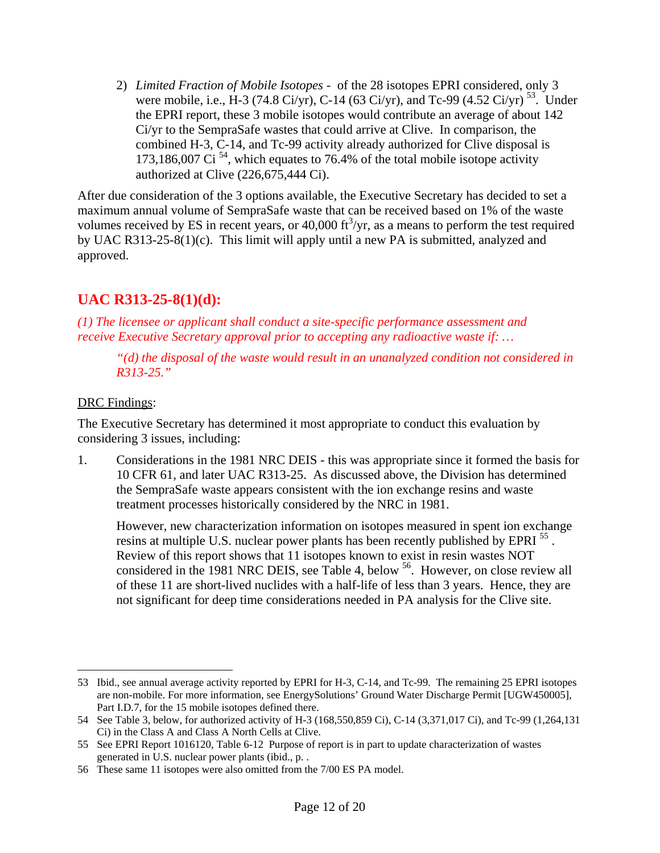2) *Limited Fraction of Mobile Isotopes* - of the 28 isotopes EPRI considered, only 3 were mobile, i.e., H-3 (74.8 Ci/yr), C-14 (63 Ci/yr), and Tc-99 (4.52 Ci/yr)<sup>53</sup>. Under the EPRI report, these 3 mobile isotopes would contribute an average of about 142 Ci/yr to the SempraSafe wastes that could arrive at Clive. In comparison, the combined H-3, C-14, and Tc-99 activity already authorized for Clive disposal is 173,186,007 Ci<sup>54</sup>, which equates to 76.4% of the total mobile isotope activity authorized at Clive (226,675,444 Ci).

After due consideration of the 3 options available, the Executive Secretary has decided to set a maximum annual volume of SempraSafe waste that can be received based on 1% of the waste volumes received by ES in recent years, or 40,000  $\text{ft}^3/\text{yr}$ , as a means to perform the test required by UAC R313-25-8(1)(c). This limit will apply until a new PA is submitted, analyzed and approved.

# **UAC R313-25-8(1)(d):**

*(1) The licensee or applicant shall conduct a site-specific performance assessment and receive Executive Secretary approval prior to accepting any radioactive waste if: …* 

*"(d) the disposal of the waste would result in an unanalyzed condition not considered in R313-25."* 

#### DRC Findings:

1

The Executive Secretary has determined it most appropriate to conduct this evaluation by considering 3 issues, including:

1. Considerations in the 1981 NRC DEIS - this was appropriate since it formed the basis for 10 CFR 61, and later UAC R313-25. As discussed above, the Division has determined the SempraSafe waste appears consistent with the ion exchange resins and waste treatment processes historically considered by the NRC in 1981.

However, new characterization information on isotopes measured in spent ion exchange resins at multiple U.S. nuclear power plants has been recently published by EPRI<sup>55</sup>. Review of this report shows that 11 isotopes known to exist in resin wastes NOT considered in the 1981 NRC DEIS, see Table 4, below 56. However, on close review all of these 11 are short-lived nuclides with a half-life of less than 3 years. Hence, they are not significant for deep time considerations needed in PA analysis for the Clive site.

<sup>53</sup> Ibid., see annual average activity reported by EPRI for H-3, C-14, and Tc-99. The remaining 25 EPRI isotopes are non-mobile. For more information, see EnergySolutions' Ground Water Discharge Permit [UGW450005], Part I.D.7, for the 15 mobile isotopes defined there.

<sup>54</sup> See Table 3, below, for authorized activity of H-3 (168,550,859 Ci), C-14 (3,371,017 Ci), and Tc-99 (1,264,131 Ci) in the Class A and Class A North Cells at Clive.

<sup>55</sup> See EPRI Report 1016120, Table 6-12 Purpose of report is in part to update characterization of wastes generated in U.S. nuclear power plants (ibid., p. .

<sup>56</sup> These same 11 isotopes were also omitted from the 7/00 ES PA model.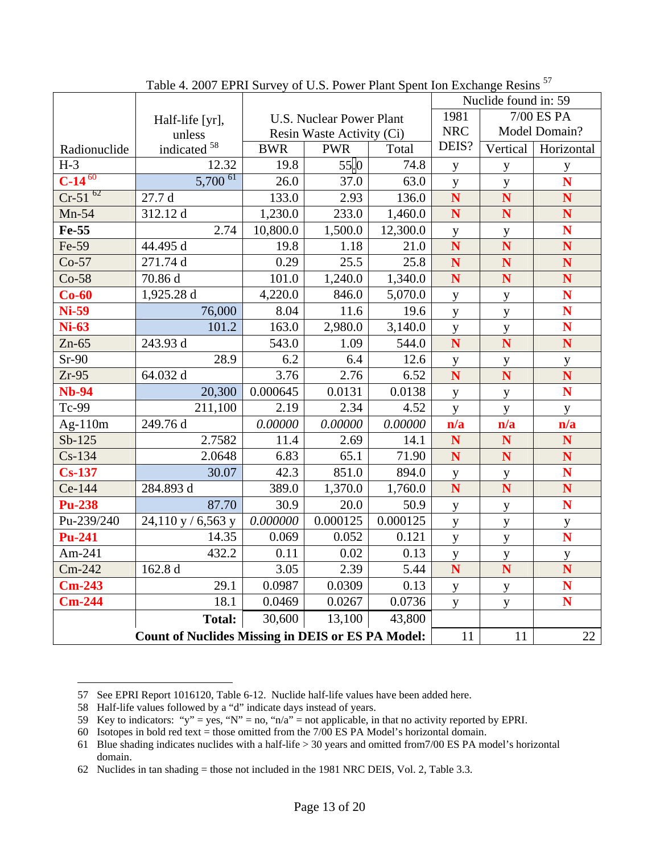|               |                                                          |                                 |                    |          | Nuclide found in: 59 |              |                         |
|---------------|----------------------------------------------------------|---------------------------------|--------------------|----------|----------------------|--------------|-------------------------|
|               | Half-life [yr],                                          | <b>U.S. Nuclear Power Plant</b> |                    |          | 1981<br>7/00 ES PA   |              |                         |
|               | unless                                                   | Resin Waste Activity (Ci)       |                    |          | <b>NRC</b>           |              | Model Domain?           |
| Radionuclide  | indicated <sup>58</sup>                                  | <b>BWR</b>                      | <b>PWR</b>         | Total    | DEIS?                | Vertical     | Horizontal              |
| $H-3$         | 12.32                                                    | 19.8                            | $55$ <sub>.0</sub> | 74.8     | y                    | y            | $\mathbf{y}$            |
| $C-14^{60}$   | $5,700$ <sup>61</sup>                                    | 26.0                            | 37.0               | 63.0     | $\mathbf y$          | $\mathbf y$  | N                       |
| $Cr-51^{62}$  | 27.7 d                                                   | 133.0                           | 2.93               | 136.0    | N                    | N            | N                       |
| $Mn-54$       | 312.12 d                                                 | 1,230.0                         | 233.0              | 1,460.0  | N                    | N            | N                       |
| Fe-55         | 2.74                                                     | 10,800.0                        | 1,500.0            | 12,300.0 | y                    | $\mathbf y$  | N                       |
| Fe-59         | 44.495 d                                                 | 19.8                            | 1.18               | 21.0     | N                    | N            | N                       |
| $Co-57$       | 271.74 d                                                 | 0.29                            | 25.5               | 25.8     | N                    | N            | $\overline{\mathbf{N}}$ |
| $Co-58$       | 70.86 d                                                  | 101.0                           | 1,240.0            | 1,340.0  | N                    | N            | N                       |
| $Co-60$       | 1,925.28 d                                               | 4,220.0                         | 846.0              | 5,070.0  | y                    | y            | N                       |
| <b>Ni-59</b>  | 76,000                                                   | 8.04                            | 11.6               | 19.6     | y                    | $\mathbf{y}$ | N                       |
| <b>Ni-63</b>  | 101.2                                                    | 163.0                           | 2,980.0            | 3,140.0  | $\mathbf y$          | $\mathbf{y}$ | N                       |
| $Zn-65$       | 243.93 d                                                 | 543.0                           | 1.09               | 544.0    | N                    | N            | N                       |
| $Sr-90$       | 28.9                                                     | 6.2                             | 6.4                | 12.6     | $\mathbf y$          | $\mathbf y$  | $\mathbf{y}$            |
| $Zr-95$       | 64.032 d                                                 | 3.76                            | 2.76               | 6.52     | N                    | N            | N                       |
| <b>Nb-94</b>  | 20,300                                                   | 0.000645                        | 0.0131             | 0.0138   | y                    | $\mathbf y$  | N                       |
| Tc-99         | 211,100                                                  | 2.19                            | 2.34               | 4.52     | y                    | y            | y                       |
| Ag- $110m$    | 249.76 d                                                 | 0.00000                         | 0.00000            | 0.00000  | n/a                  | n/a          | n/a                     |
| $Sb-125$      | 2.7582                                                   | 11.4                            | 2.69               | 14.1     | N                    | N            | $\mathbf N$             |
| $Cs-134$      | 2.0648                                                   | 6.83                            | 65.1               | 71.90    | N                    | N            | N                       |
| $Cs-137$      | 30.07                                                    | 42.3                            | 851.0              | 894.0    | y                    | y            | N                       |
| Ce-144        | 284.893 d                                                | 389.0                           | 1,370.0            | 1,760.0  | N                    | N            | N                       |
| <b>Pu-238</b> | 87.70                                                    | 30.9                            | 20.0               | 50.9     | y                    | $\mathbf{y}$ | N                       |
| Pu-239/240    | 24,110 y / 6,563 y                                       | 0.000000                        | 0.000125           | 0.000125 | y                    | y            | $\mathbf{y}$            |
| <b>Pu-241</b> | 14.35                                                    | 0.069                           | 0.052              | 0.121    | y                    | y            | N                       |
| Am-241        | 432.2                                                    | 0.11                            | 0.02               | 0.13     | $\mathbf y$          | $\mathbf{y}$ | $\mathbf{y}$            |
| $Cm-242$      | 162.8 d                                                  | 3.05                            | 2.39               | 5.44     | N                    | N            | N                       |
| $Cm-243$      | 29.1                                                     | 0.0987                          | 0.0309             | 0.13     | y                    | y            | N                       |
| $Cm-244$      | 18.1                                                     | 0.0469                          | 0.0267             | 0.0736   | y                    | y            | N                       |
|               | <b>Total:</b>                                            | 30,600                          | 13,100             | 43,800   |                      |              |                         |
|               | <b>Count of Nuclides Missing in DEIS or ES PA Model:</b> | 11                              | 11                 | 22       |                      |              |                         |

Table 4. 2007 EPRI Survey of U.S. Power Plant Spent Ion Exchange Resins<sup>57</sup>

<sup>57</sup> See EPRI Report 1016120, Table 6-12. Nuclide half-life values have been added here.

<sup>58</sup> Half-life values followed by a "d" indicate days instead of years.

<sup>59</sup> Key to indicators: "y" = yes, "N" = no, "n/a" = not applicable, in that no activity reported by EPRI.

<sup>60</sup> Isotopes in bold red text = those omitted from the 7/00 ES PA Model's horizontal domain.

<sup>61</sup> Blue shading indicates nuclides with a half-life > 30 years and omitted from7/00 ES PA model's horizontal domain.

<sup>62</sup> Nuclides in tan shading = those not included in the 1981 NRC DEIS, Vol. 2, Table 3.3.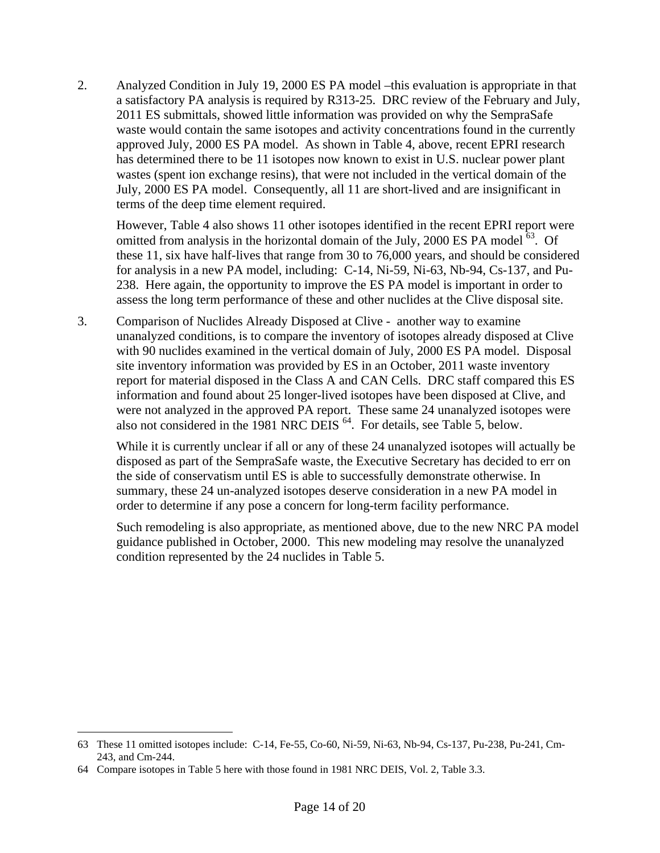2. Analyzed Condition in July 19, 2000 ES PA model –this evaluation is appropriate in that a satisfactory PA analysis is required by R313-25. DRC review of the February and July, 2011 ES submittals, showed little information was provided on why the SempraSafe waste would contain the same isotopes and activity concentrations found in the currently approved July, 2000 ES PA model. As shown in Table 4, above, recent EPRI research has determined there to be 11 isotopes now known to exist in U.S. nuclear power plant wastes (spent ion exchange resins), that were not included in the vertical domain of the July, 2000 ES PA model. Consequently, all 11 are short-lived and are insignificant in terms of the deep time element required.

However, Table 4 also shows 11 other isotopes identified in the recent EPRI report were omitted from analysis in the horizontal domain of the July, 2000 ES PA model  $^{63}$ . Of these 11, six have half-lives that range from 30 to 76,000 years, and should be considered for analysis in a new PA model, including: C-14, Ni-59, Ni-63, Nb-94, Cs-137, and Pu-238. Here again, the opportunity to improve the ES PA model is important in order to assess the long term performance of these and other nuclides at the Clive disposal site.

3. Comparison of Nuclides Already Disposed at Clive - another way to examine unanalyzed conditions, is to compare the inventory of isotopes already disposed at Clive with 90 nuclides examined in the vertical domain of July, 2000 ES PA model. Disposal site inventory information was provided by ES in an October, 2011 waste inventory report for material disposed in the Class A and CAN Cells. DRC staff compared this ES information and found about 25 longer-lived isotopes have been disposed at Clive, and were not analyzed in the approved PA report. These same 24 unanalyzed isotopes were also not considered in the 1981 NRC DEIS<sup>64</sup>. For details, see Table 5, below.

While it is currently unclear if all or any of these 24 unanalyzed isotopes will actually be disposed as part of the SempraSafe waste, the Executive Secretary has decided to err on the side of conservatism until ES is able to successfully demonstrate otherwise. In summary, these 24 un-analyzed isotopes deserve consideration in a new PA model in order to determine if any pose a concern for long-term facility performance.

Such remodeling is also appropriate, as mentioned above, due to the new NRC PA model guidance published in October, 2000. This new modeling may resolve the unanalyzed condition represented by the 24 nuclides in Table 5.

<sup>63</sup> These 11 omitted isotopes include: C-14, Fe-55, Co-60, Ni-59, Ni-63, Nb-94, Cs-137, Pu-238, Pu-241, Cm-243, and Cm-244.

<sup>64</sup> Compare isotopes in Table 5 here with those found in 1981 NRC DEIS, Vol. 2, Table 3.3.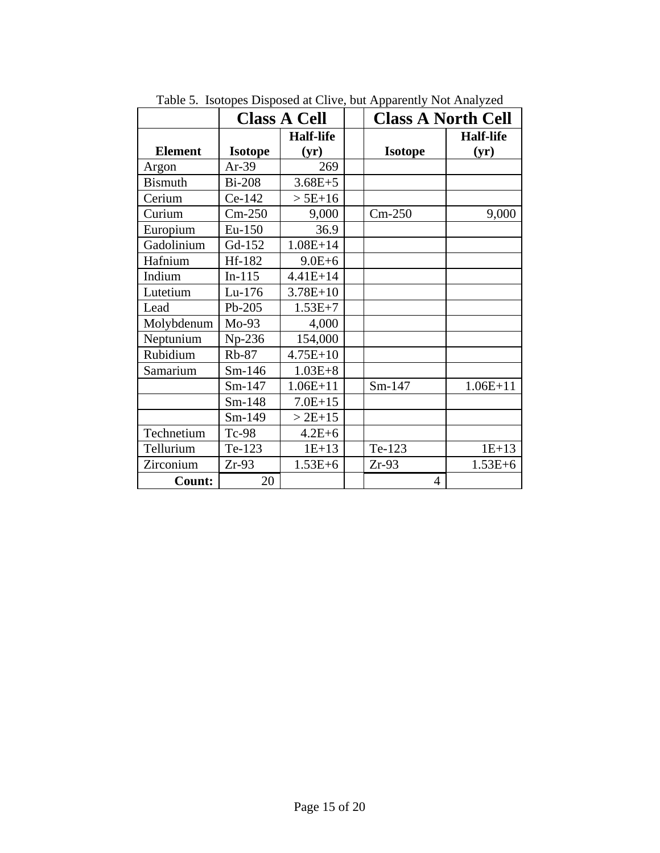|                |                | <b>Class A Cell</b> | radio 3. 180topos Disposõe at Cirve, bat ripparentry riot rinaryzee<br><b>Class A North Cell</b> |                  |  |  |
|----------------|----------------|---------------------|--------------------------------------------------------------------------------------------------|------------------|--|--|
|                |                | <b>Half-life</b>    |                                                                                                  | <b>Half-life</b> |  |  |
| <b>Element</b> | <b>Isotope</b> | (yr)                | <b>Isotope</b>                                                                                   | (yr)             |  |  |
| Argon          | $Ar-39$        | 269                 |                                                                                                  |                  |  |  |
| <b>Bismuth</b> | <b>Bi-208</b>  | $3.68E + 5$         |                                                                                                  |                  |  |  |
| Cerium         | Ce-142         | $> 5E+16$           |                                                                                                  |                  |  |  |
| Curium         | $Cm-250$       | 9,000               | $Cm-250$                                                                                         | 9,000            |  |  |
| Europium       | Eu-150         | 36.9                |                                                                                                  |                  |  |  |
| Gadolinium     | Gd-152         | $1.08E + 14$        |                                                                                                  |                  |  |  |
| Hafnium        | Hf-182         | $9.0E + 6$          |                                                                                                  |                  |  |  |
| Indium         | $In-115$       | $4.41E + 14$        |                                                                                                  |                  |  |  |
| Lutetium       | Lu-176         | $3.78E + 10$        |                                                                                                  |                  |  |  |
| Lead           | Pb-205         | $1.53E+7$           |                                                                                                  |                  |  |  |
| Molybdenum     | $Mo-93$        | 4,000               |                                                                                                  |                  |  |  |
| Neptunium      | Np-236         | 154,000             |                                                                                                  |                  |  |  |
| Rubidium       | $Rb-87$        | $4.75E+10$          |                                                                                                  |                  |  |  |
| Samarium       | $Sm-146$       | $1.03E + 8$         |                                                                                                  |                  |  |  |
|                | Sm-147         | $1.06E + 11$        | Sm-147                                                                                           | $1.06E+11$       |  |  |
|                | Sm-148         | $7.0E+15$           |                                                                                                  |                  |  |  |
|                | Sm-149         | $> 2E+15$           |                                                                                                  |                  |  |  |
| Technetium     | $Tc-98$        | $4.2E + 6$          |                                                                                                  |                  |  |  |
| Tellurium      | Te-123         | $1E+13$             | Te-123                                                                                           | $1E+13$          |  |  |
| Zirconium      | $Zr-93$        | $1.53E + 6$         | $Zr-93$                                                                                          | $1.53E + 6$      |  |  |
| Count:         | 20             |                     | 4                                                                                                |                  |  |  |

Table 5. Isotopes Disposed at Clive, but Apparently Not Analyzed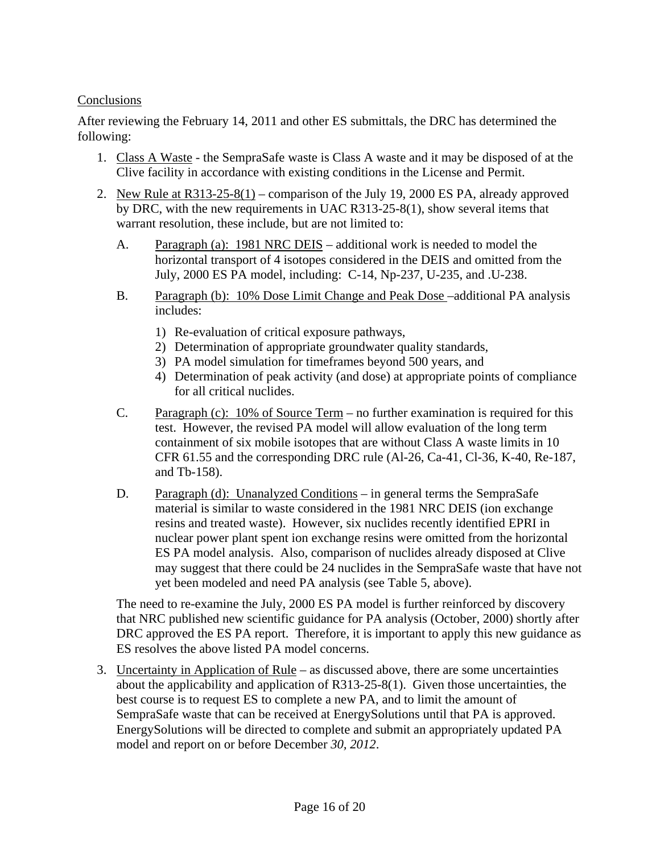#### Conclusions

After reviewing the February 14, 2011 and other ES submittals, the DRC has determined the following:

- 1. Class A Waste the SempraSafe waste is Class A waste and it may be disposed of at the Clive facility in accordance with existing conditions in the License and Permit.
- 2. New Rule at R313-25-8(1) comparison of the July 19, 2000 ES PA, already approved by DRC, with the new requirements in UAC R313-25-8(1), show several items that warrant resolution, these include, but are not limited to:
	- A. Paragraph (a): 1981 NRC DEIS additional work is needed to model the horizontal transport of 4 isotopes considered in the DEIS and omitted from the July, 2000 ES PA model, including: C-14, Np-237, U-235, and .U-238.
	- B. Paragraph (b): 10% Dose Limit Change and Peak Dose –additional PA analysis includes:
		- 1) Re-evaluation of critical exposure pathways,
		- 2) Determination of appropriate groundwater quality standards,
		- 3) PA model simulation for timeframes beyond 500 years, and
		- 4) Determination of peak activity (and dose) at appropriate points of compliance for all critical nuclides.
	- C. Paragraph (c): 10% of Source Term no further examination is required for this test. However, the revised PA model will allow evaluation of the long term containment of six mobile isotopes that are without Class A waste limits in 10 CFR 61.55 and the corresponding DRC rule (Al-26, Ca-41, Cl-36, K-40, Re-187, and Tb-158).
	- D. Paragraph (d): Unanalyzed Conditions in general terms the SempraSafe material is similar to waste considered in the 1981 NRC DEIS (ion exchange resins and treated waste). However, six nuclides recently identified EPRI in nuclear power plant spent ion exchange resins were omitted from the horizontal ES PA model analysis. Also, comparison of nuclides already disposed at Clive may suggest that there could be 24 nuclides in the SempraSafe waste that have not yet been modeled and need PA analysis (see Table 5, above).

 The need to re-examine the July, 2000 ES PA model is further reinforced by discovery that NRC published new scientific guidance for PA analysis (October, 2000) shortly after DRC approved the ES PA report. Therefore, it is important to apply this new guidance as ES resolves the above listed PA model concerns.

3. Uncertainty in Application of Rule – as discussed above, there are some uncertainties about the applicability and application of R313-25-8(1). Given those uncertainties, the best course is to request ES to complete a new PA, and to limit the amount of SempraSafe waste that can be received at EnergySolutions until that PA is approved. EnergySolutions will be directed to complete and submit an appropriately updated PA model and report on or before December *30, 2012*.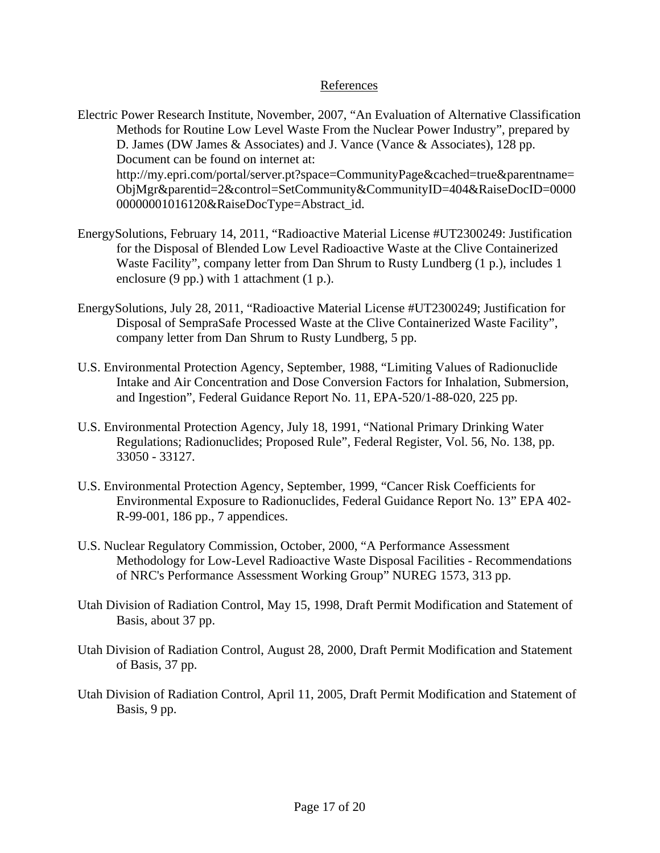#### References

- Electric Power Research Institute, November, 2007, "An Evaluation of Alternative Classification Methods for Routine Low Level Waste From the Nuclear Power Industry", prepared by D. James (DW James & Associates) and J. Vance (Vance & Associates), 128 pp. Document can be found on internet at: http://my.epri.com/portal/server.pt?space=CommunityPage&cached=true&parentname= ObjMgr&parentid=2&control=SetCommunity&CommunityID=404&RaiseDocID=0000 00000001016120&RaiseDocType=Abstract\_id.
- EnergySolutions, February 14, 2011, "Radioactive Material License #UT2300249: Justification for the Disposal of Blended Low Level Radioactive Waste at the Clive Containerized Waste Facility", company letter from Dan Shrum to Rusty Lundberg (1 p.), includes 1 enclosure (9 pp.) with 1 attachment (1 p.).
- EnergySolutions, July 28, 2011, "Radioactive Material License #UT2300249; Justification for Disposal of SempraSafe Processed Waste at the Clive Containerized Waste Facility", company letter from Dan Shrum to Rusty Lundberg, 5 pp.
- U.S. Environmental Protection Agency, September, 1988, "Limiting Values of Radionuclide Intake and Air Concentration and Dose Conversion Factors for Inhalation, Submersion, and Ingestion", Federal Guidance Report No. 11, EPA-520/1-88-020, 225 pp.
- U.S. Environmental Protection Agency, July 18, 1991, "National Primary Drinking Water Regulations; Radionuclides; Proposed Rule", Federal Register, Vol. 56, No. 138, pp. 33050 - 33127.
- U.S. Environmental Protection Agency, September, 1999, "Cancer Risk Coefficients for Environmental Exposure to Radionuclides, Federal Guidance Report No. 13" EPA 402- R-99-001, 186 pp., 7 appendices.
- U.S. Nuclear Regulatory Commission, October, 2000, "A Performance Assessment Methodology for Low-Level Radioactive Waste Disposal Facilities - Recommendations of NRC's Performance Assessment Working Group" NUREG 1573, 313 pp.
- Utah Division of Radiation Control, May 15, 1998, Draft Permit Modification and Statement of Basis, about 37 pp.
- Utah Division of Radiation Control, August 28, 2000, Draft Permit Modification and Statement of Basis, 37 pp.
- Utah Division of Radiation Control, April 11, 2005, Draft Permit Modification and Statement of Basis, 9 pp.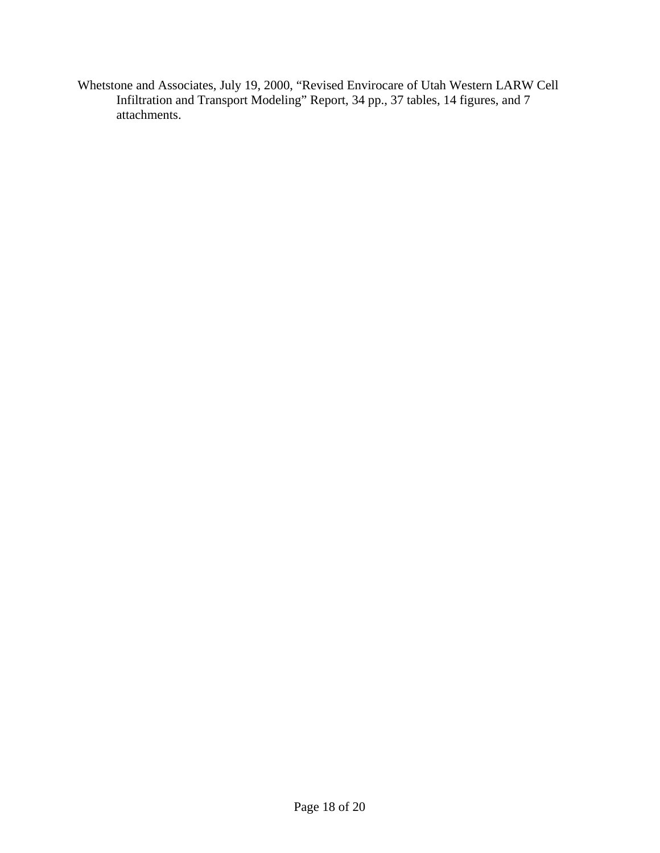Whetstone and Associates, July 19, 2000, "Revised Envirocare of Utah Western LARW Cell Infiltration and Transport Modeling" Report, 34 pp., 37 tables, 14 figures, and 7 attachments.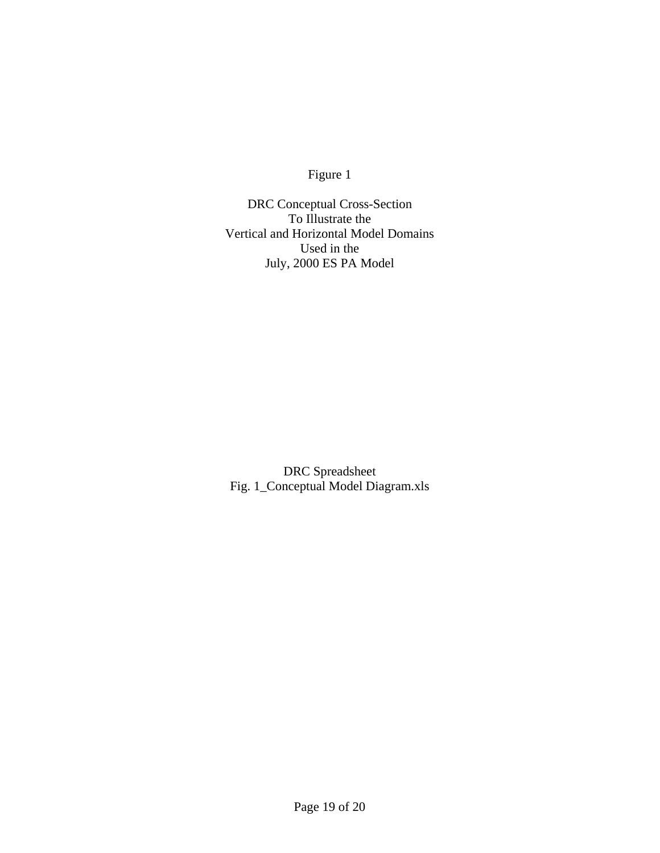Figure 1

DRC Conceptual Cross-Section To Illustrate the Vertical and Horizontal Model Domains Used in the July, 2000 ES PA Model

DRC Spreadsheet Fig. 1\_Conceptual Model Diagram.xls